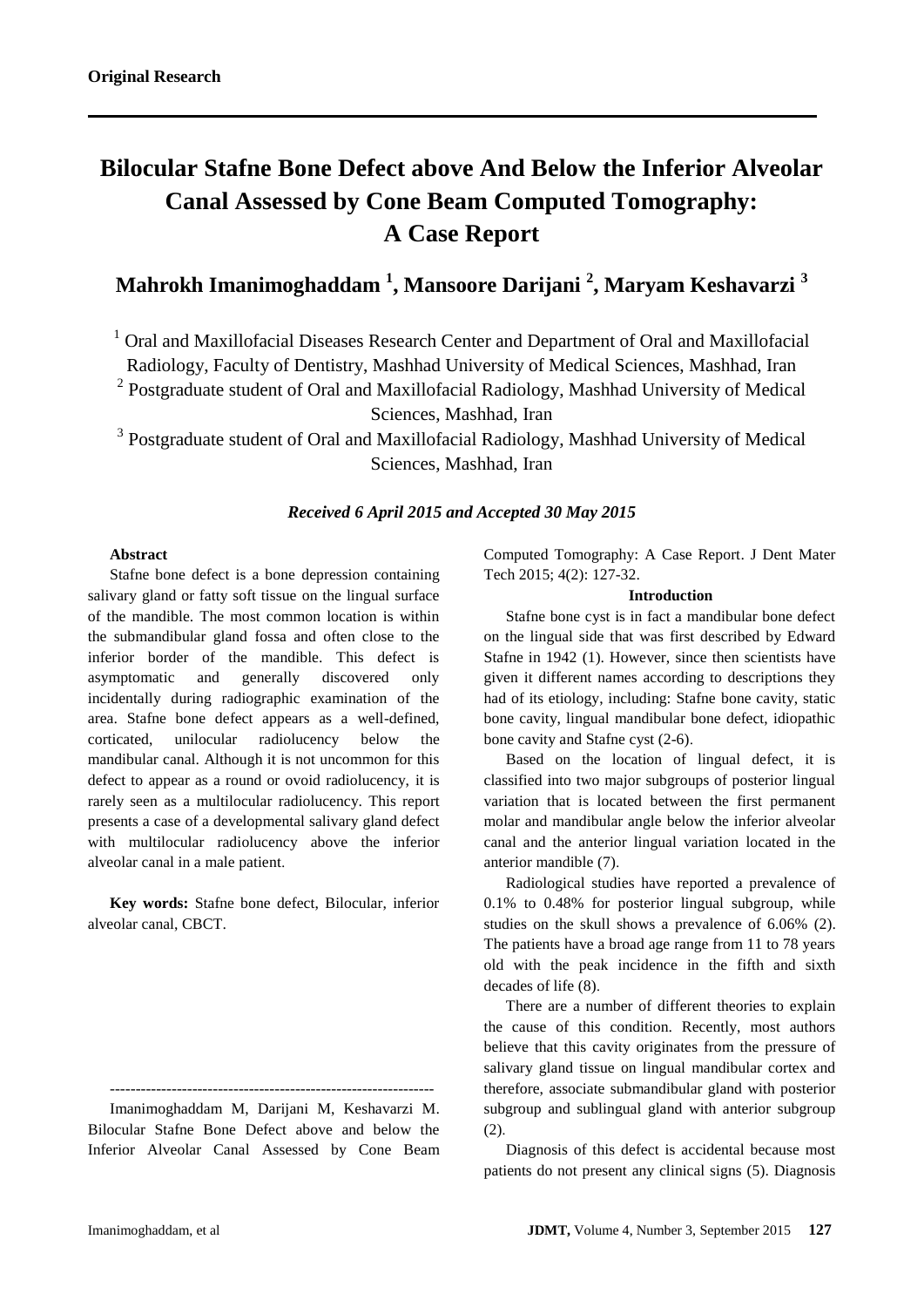# **Bilocular Stafne Bone Defect above And Below the Inferior Alveolar Canal Assessed by Cone Beam Computed Tomography: A Case Report**

# **Mahrokh Imanimoghaddam <sup>1</sup> , Mansoore Darijani <sup>2</sup> , Maryam Keshavarzi <sup>3</sup>**

<sup>1</sup> Oral and Maxillofacial Diseases Research Center and Department of Oral and Maxillofacial Radiology, Faculty of Dentistry, Mashhad University of Medical Sciences, Mashhad, Iran

<sup>2</sup> Postgraduate student of Oral and Maxillofacial Radiology, Mashhad University of Medical

Sciences, Mashhad, Iran

<sup>3</sup> Postgraduate student of Oral and Maxillofacial Radiology, Mashhad University of Medical Sciences, Mashhad, Iran

# *Received 6 April 2015 and Accepted 30 May 2015*

## **Abstract**

Stafne bone defect is a bone depression containing salivary gland or fatty soft tissue on the lingual surface of the mandible. The most common location is within the submandibular gland fossa and often close to the inferior border of the mandible. This defect is asymptomatic and generally discovered only incidentally during radiographic examination of the area. Stafne bone defect appears as a well-defined, corticated, unilocular radiolucency below the mandibular canal. Although it is not uncommon for this defect to appear as a round or ovoid radiolucency, it is rarely seen as a multilocular radiolucency. This report presents a case of a developmental salivary gland defect with multilocular radiolucency above the inferior alveolar canal in a male patient.

**Key words:** Stafne bone defect, Bilocular, inferior alveolar canal, CBCT.

--------------------------------------------------------------- Imanimoghaddam M, Darijani M, Keshavarzi M. Bilocular Stafne Bone Defect above and below the Inferior Alveolar Canal Assessed by Cone Beam Computed Tomography: A Case Report. J Dent Mater Tech 2015; 4(2): 127-32.

#### **Introduction**

Stafne bone cyst is in fact a mandibular bone defect on the lingual side that was first described by Edward Stafne in 1942 (1). However, since then scientists have given it different names according to descriptions they had of its etiology, including: Stafne bone cavity, static bone cavity, lingual mandibular bone defect, idiopathic bone cavity and Stafne cyst (2-6).

Based on the location of lingual defect, it is classified into two major subgroups of posterior lingual variation that is located between the first permanent molar and mandibular angle below the inferior alveolar canal and the anterior lingual variation located in the anterior mandible (7).

Radiological studies have reported a prevalence of 0.1% to 0.48% for posterior lingual subgroup, while studies on the skull shows a prevalence of 6.06% (2). The patients have a broad age range from 11 to 78 years old with the peak incidence in the fifth and sixth decades of life (8).

There are a number of different theories to explain the cause of this condition. Recently, most authors believe that this cavity originates from the pressure of salivary gland tissue on lingual mandibular cortex and therefore, associate submandibular gland with posterior subgroup and sublingual gland with anterior subgroup (2).

Diagnosis of this defect is accidental because most patients do not present any clinical signs (5). Diagnosis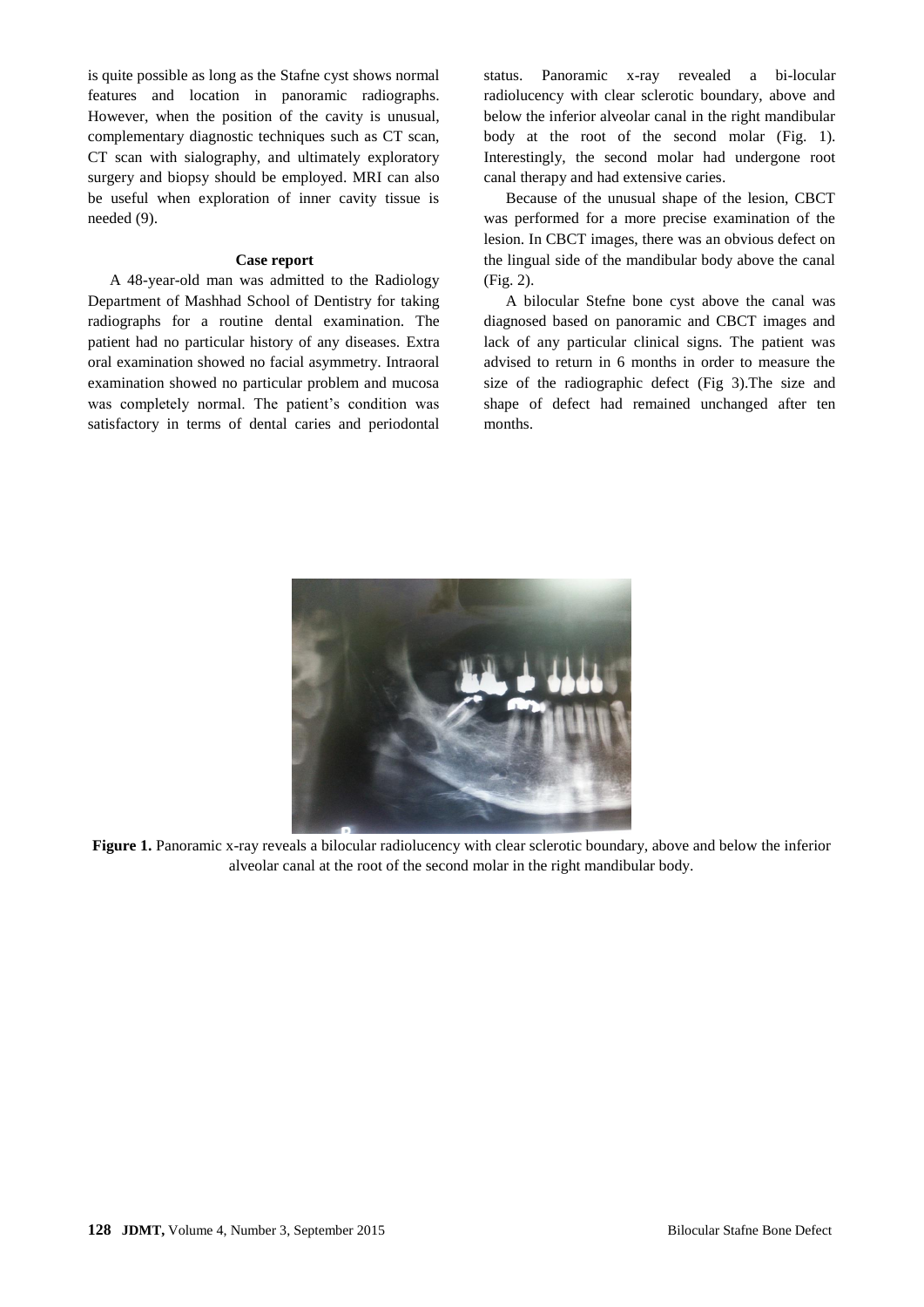is quite possible as long as the Stafne cyst shows normal features and location in panoramic radiographs. However, when the position of the cavity is unusual, complementary diagnostic techniques such as CT scan, CT scan with sialography, and ultimately exploratory surgery and biopsy should be employed. MRI can also be useful when exploration of inner cavity tissue is needed (9).

#### **Case report**

A 48-year-old man was admitted to the Radiology Department of Mashhad School of Dentistry for taking radiographs for a routine dental examination. The patient had no particular history of any diseases. Extra oral examination showed no facial asymmetry. Intraoral examination showed no particular problem and mucosa was completely normal. The patient's condition was satisfactory in terms of dental caries and periodontal

status. Panoramic x-ray revealed a bi-locular radiolucency with clear sclerotic boundary, above and below the inferior alveolar canal in the right mandibular body at the root of the second molar (Fig. 1). Interestingly, the second molar had undergone root canal therapy and had extensive caries.

Because of the unusual shape of the lesion, CBCT was performed for a more precise examination of the lesion. In CBCT images, there was an obvious defect on the lingual side of the mandibular body above the canal (Fig. 2).

A bilocular Stefne bone cyst above the canal was diagnosed based on panoramic and CBCT images and lack of any particular clinical signs. The patient was advised to return in 6 months in order to measure the size of the radiographic defect (Fig 3).The size and shape of defect had remained unchanged after ten months.



**Figure 1.** Panoramic x-ray reveals a bilocular radiolucency with clear sclerotic boundary, above and below the inferior alveolar canal at the root of the second molar in the right mandibular body.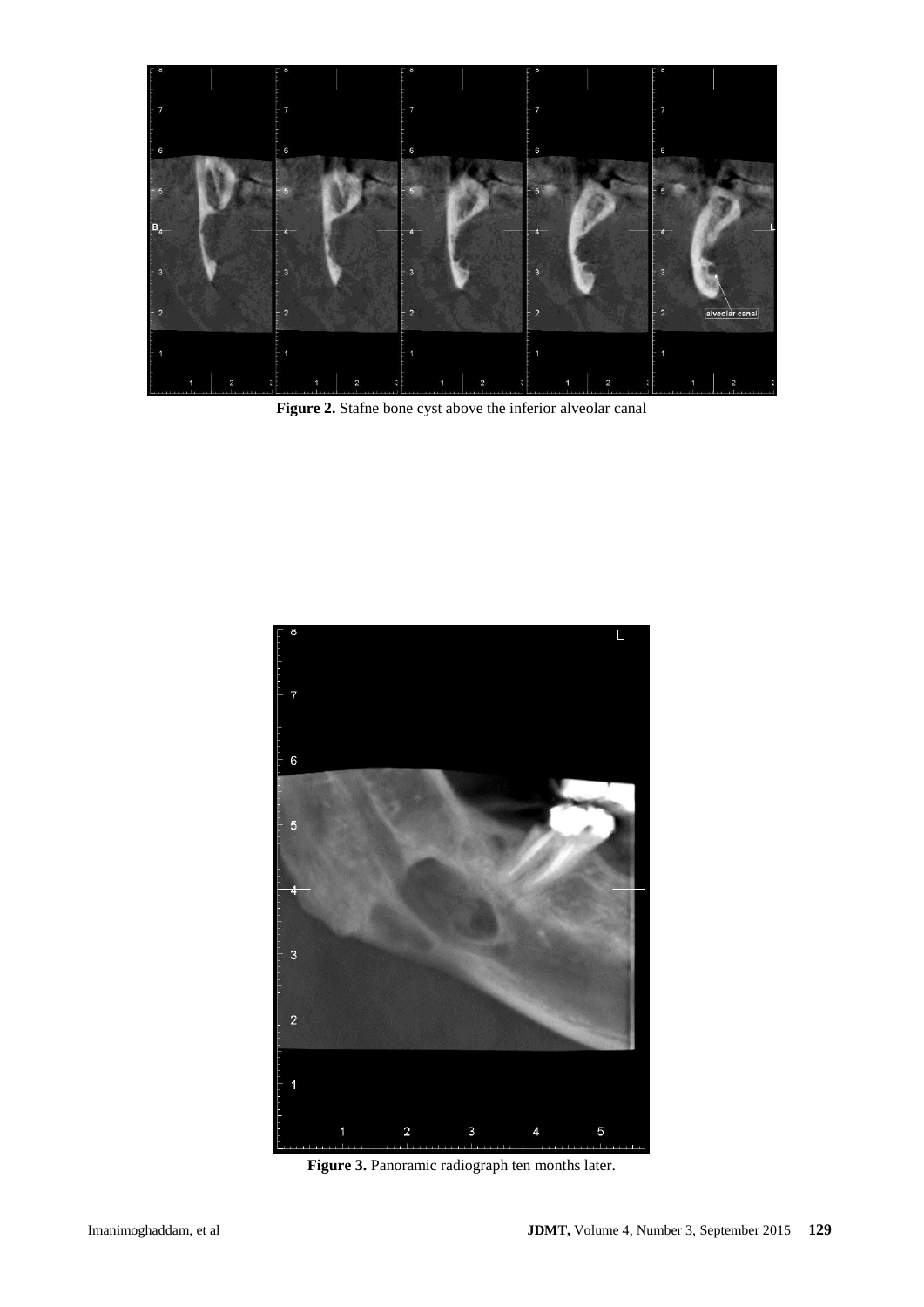

Figure 2. Stafne bone cyst above the inferior alveolar canal



**Figure 3.** Panoramic radiograph ten months later.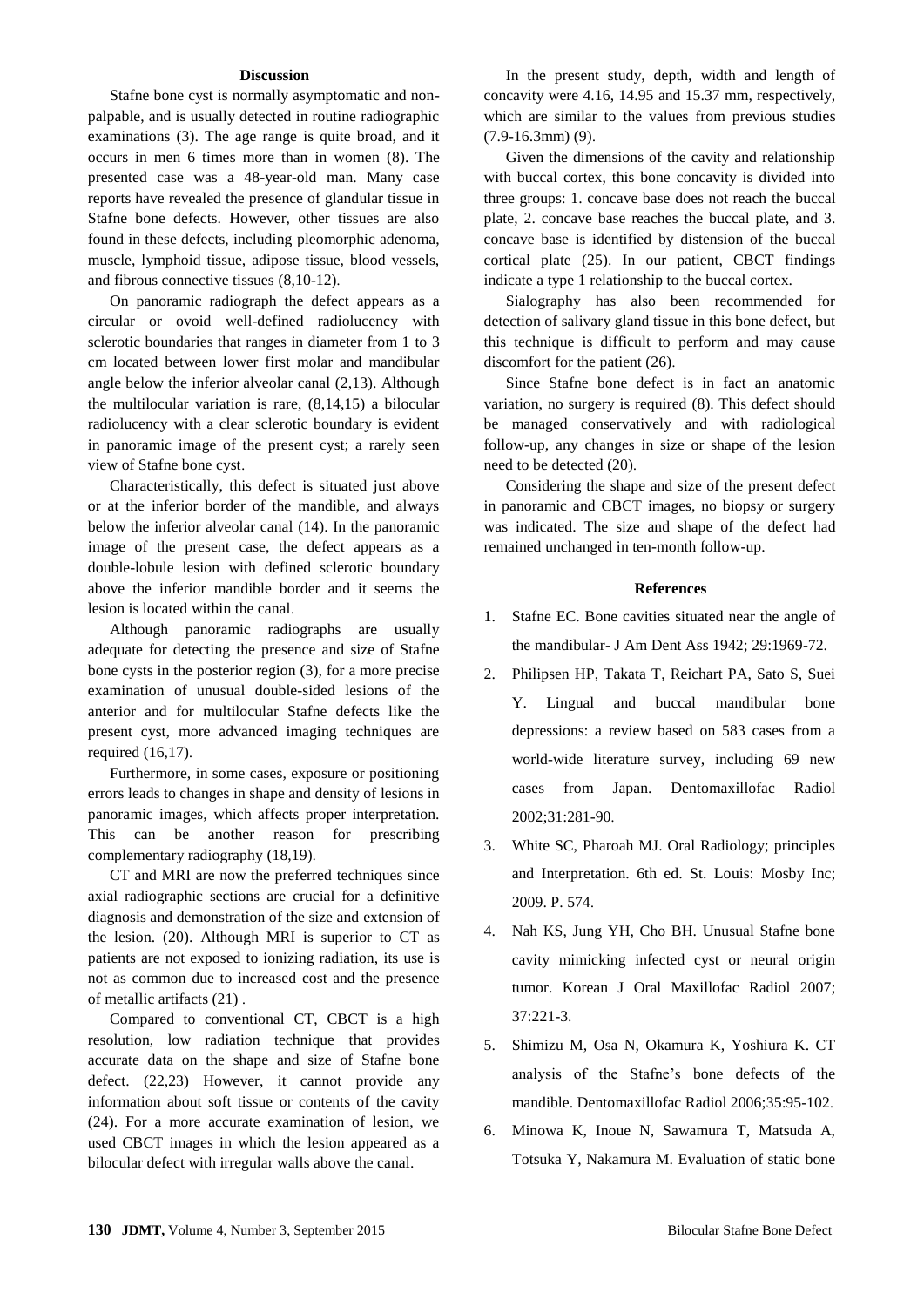#### **Discussion**

Stafne bone cyst is normally asymptomatic and nonpalpable, and is usually detected in routine radiographic examinations (3). The age range is quite broad, and it occurs in men 6 times more than in women (8). The presented case was a 48-year-old man. Many case reports have revealed the presence of glandular tissue in Stafne bone defects. However, other tissues are also found in these defects, including pleomorphic adenoma, muscle, lymphoid tissue, adipose tissue, blood vessels, and fibrous connective tissues (8,10-12).

On panoramic radiograph the defect appears as a circular or ovoid well-defined radiolucency with sclerotic boundaries that ranges in diameter from 1 to 3 cm located between lower first molar and mandibular angle below the inferior alveolar canal (2,13). Although the multilocular variation is rare, (8,14,15) a bilocular radiolucency with a clear sclerotic boundary is evident in panoramic image of the present cyst; a rarely seen view of Stafne bone cyst.

Characteristically, this defect is situated just above or at the inferior border of the mandible, and always below the inferior alveolar canal (14). In the panoramic image of the present case, the defect appears as a double-lobule lesion with defined sclerotic boundary above the inferior mandible border and it seems the lesion is located within the canal.

Although panoramic radiographs are usually adequate for detecting the presence and size of Stafne bone cysts in the posterior region (3), for a more precise examination of unusual double-sided lesions of the anterior and for multilocular Stafne defects like the present cyst, more advanced imaging techniques are required (16,17).

Furthermore, in some cases, exposure or positioning errors leads to changes in shape and density of lesions in panoramic images, which affects proper interpretation. This can be another reason for prescribing complementary radiography (18,19).

CT and MRI are now the preferred techniques since axial radiographic sections are crucial for a definitive diagnosis and demonstration of the size and extension of the lesion. (20). Although MRI is superior to CT as patients are not exposed to ionizing radiation, its use is not as common due to increased cost and the presence of metallic artifacts (21) .

Compared to conventional CT, CBCT is a high resolution, low radiation technique that provides accurate data on the shape and size of Stafne bone defect. (22,23) However, it cannot provide any information about soft tissue or contents of the cavity (24). For a more accurate examination of lesion, we used CBCT images in which the lesion appeared as a bilocular defect with irregular walls above the canal.

In the present study, depth, width and length of concavity were 4.16, 14.95 and 15.37 mm, respectively, which are similar to the values from previous studies (7.9-16.3mm) (9).

Given the dimensions of the cavity and relationship with buccal cortex, this bone concavity is divided into three groups: 1. concave base does not reach the buccal plate, 2. concave base reaches the buccal plate, and 3. concave base is identified by distension of the buccal cortical plate (25). In our patient, CBCT findings indicate a type 1 relationship to the buccal cortex.

Sialography has also been recommended for detection of salivary gland tissue in this bone defect, but this technique is difficult to perform and may cause discomfort for the patient (26).

Since Stafne bone defect is in fact an anatomic variation, no surgery is required (8). This defect should be managed conservatively and with radiological follow-up, any changes in size or shape of the lesion need to be detected (20).

Considering the shape and size of the present defect in panoramic and CBCT images, no biopsy or surgery was indicated. The size and shape of the defect had remained unchanged in ten-month follow-up.

#### **References**

- 1. Stafne EC. Bone cavities situated near the angle of the mandibular- J Am Dent Ass 1942; 29:1969-72.
- 2. Philipsen HP, Takata T, Reichart PA, Sato S, Suei Y. Lingual and buccal mandibular bone depressions: a review based on 583 cases from a world-wide literature survey, including 69 new cases from Japan. Dentomaxillofac Radiol 2002;31:281-90.
- 3. White SC, Pharoah MJ. Oral Radiology; principles and Interpretation. 6th ed. St. Louis: Mosby Inc; 2009. P. 574.
- 4. Nah KS, Jung YH, Cho BH. Unusual Stafne bone cavity mimicking infected cyst or neural origin tumor. Korean J Oral Maxillofac Radiol 2007; 37:221-3.
- 5. Shimizu M, Osa N, Okamura K, Yoshiura K. CT analysis of the Stafne's bone defects of the mandible. Dentomaxillofac Radiol 2006;35:95-102.
- 6. Minowa K, Inoue N, Sawamura T, Matsuda A, Totsuka Y, Nakamura M. Evaluation of static bone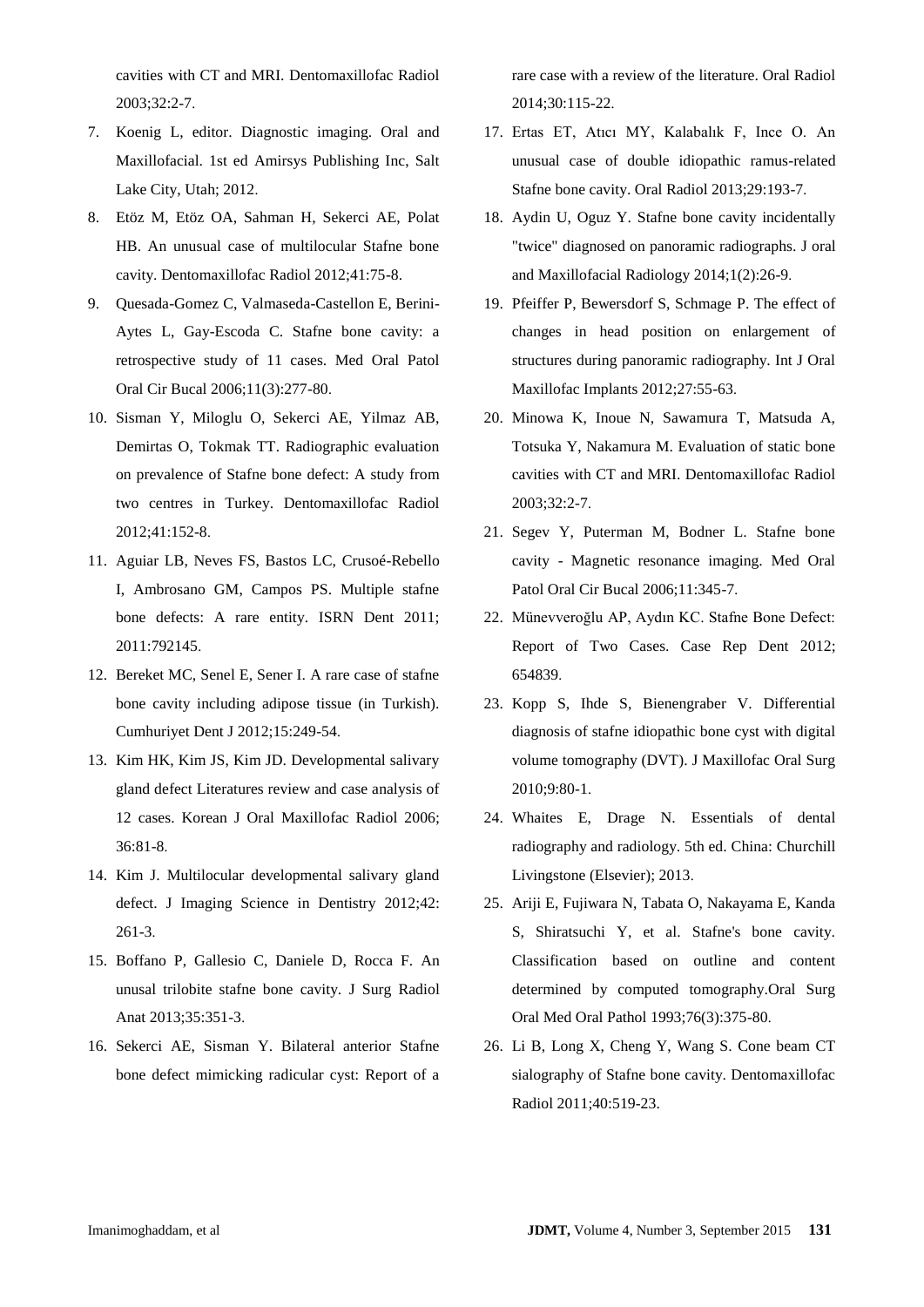cavities with CT and MRI. Dentomaxillofac Radiol 2003;32:2-7.

- 7. Koenig L, editor. Diagnostic imaging. Oral and Maxillofacial. 1st ed Amirsys Publishing Inc, Salt Lake City, Utah; 2012.
- 8. Etöz M, Etöz OA, Sahman H, Sekerci AE, Polat HB. An unusual case of multilocular Stafne bone cavity. Dentomaxillofac Radiol 2012;41:75-8.
- 9. Quesada-Gomez C, Valmaseda-Castellon E, Berini-Aytes L, Gay-Escoda C. Stafne bone cavity: a retrospective study of 11 cases. Med Oral Patol Oral Cir Bucal 2006;11(3):277-80.
- 10. Sisman Y, Miloglu O, Sekerci AE, Yilmaz AB, Demirtas O, Tokmak TT. Radiographic evaluation on prevalence of Stafne bone defect: A study from two centres in Turkey. Dentomaxillofac Radiol 2012;41:152-8.
- 11. Aguiar LB, Neves FS, Bastos LC, Crusoé-Rebello I, Ambrosano GM, Campos PS. Multiple stafne bone defects: A rare entity. ISRN Dent 2011; 2011:792145.
- 12. Bereket MC, Senel E, Sener I. A rare case of stafne bone cavity including adipose tissue (in Turkish). Cumhuriyet Dent J 2012;15:249-54.
- 13. Kim HK, Kim JS, Kim JD. Developmental salivary gland defect Literatures review and case analysis of 12 cases. Korean J Oral Maxillofac Radiol 2006; 36:81-8.
- 14. Kim J. Multilocular developmental salivary gland defect. J Imaging Science in Dentistry 2012;42: 261-3.
- 15. Boffano P, Gallesio C, Daniele D, Rocca F. An unusal trilobite stafne bone cavity. J Surg Radiol Anat 2013;35:351-3.
- 16. Sekerci AE, Sisman Y. Bilateral anterior Stafne bone defect mimicking radicular cyst: Report of a

rare case with a review of the literature. Oral Radiol 2014;30:115-22.

- 17. Ertas ET, Atıcı MY, Kalabalık F, Ince O. An unusual case of double idiopathic ramus-related Stafne bone cavity. Oral Radiol 2013;29:193-7.
- 18. Aydin U, Oguz Y. Stafne bone cavity incidentally "twice" diagnosed on panoramic radiographs. J oral and Maxillofacial Radiology 2014;1(2):26-9.
- 19. Pfeiffer P, Bewersdorf S, Schmage P. The effect of changes in head position on enlargement of structures during panoramic radiography. Int J Oral Maxillofac Implants 2012;27:55-63.
- 20. Minowa K, Inoue N, Sawamura T, Matsuda A, Totsuka Y, Nakamura M. Evaluation of static bone cavities with CT and MRI. Dentomaxillofac Radiol 2003;32:2-7.
- 21. Segev Y, Puterman M, Bodner L. Stafne bone cavity - Magnetic resonance imaging. Med Oral Patol Oral Cir Bucal 2006;11:345-7.
- 22. Münevveroğlu AP, Aydın KC. Stafne Bone Defect: Report of Two Cases. Case Rep Dent 2012; 654839.
- 23. Kopp S, Ihde S, Bienengraber V. Differential diagnosis of stafne idiopathic bone cyst with digital volume tomography (DVT). J Maxillofac Oral Surg 2010;9:80-1.
- 24. Whaites E, Drage N. Essentials of dental radiography and radiology. 5th ed. China: Churchill Livingstone (Elsevier); 2013.
- 25. Ariji E, Fujiwara N, Tabata O, Nakayama E, Kanda S, Shiratsuchi Y, et al. Stafne's bone cavity. Classification based on outline and content determined by computed tomography.Oral Surg Oral Med Oral Pathol 1993;76(3):375-80.
- 26. Li B, Long X, Cheng Y, Wang S. Cone beam CT sialography of Stafne bone cavity. Dentomaxillofac Radiol 2011;40:519-23.